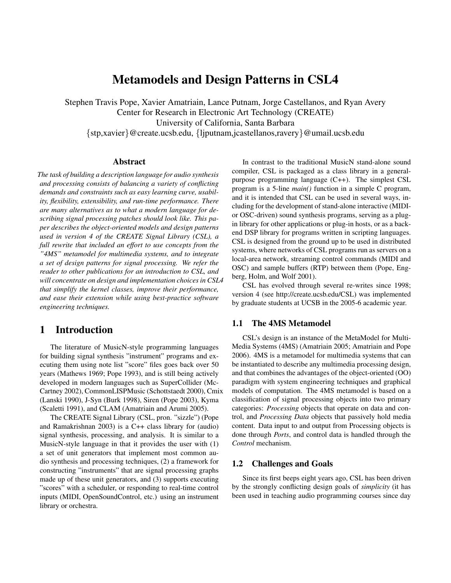# Metamodels and Design Patterns in CSL4

Stephen Travis Pope, Xavier Amatriain, Lance Putnam, Jorge Castellanos, and Ryan Avery Center for Research in Electronic Art Technology (CREATE) University of California, Santa Barbara {stp,xavier}@create.ucsb.edu, {ljputnam,jcastellanos,ravery}@umail.ucsb.edu

## Abstract

*The task of building a description language for audio synthesis and processing consists of balancing a variety of conflicting demands and constraints such as easy learning curve, usability, flexibility, extensibility, and run-time performance. There are many alternatives as to what a modern language for describing signal processing patches should look like. This paper describes the object-oriented models and design patterns used in version 4 of the CREATE Signal Library (CSL), a full rewrite that included an effort to use concepts from the "4MS" metamodel for multimedia systems, and to integrate a set of design patterns for signal processing. We refer the reader to other publications for an introduction to CSL, and will concentrate on design and implementation choices in CSL4 that simplify the kernel classes, improve their performance, and ease their extension while using best-practice software engineering techniques.*

# 1 Introduction

The literature of MusicN-style programming languages for building signal synthesis "instrument" programs and executing them using note list "score" files goes back over 50 years (Mathews 1969; Pope 1993), and is still being actively developed in modern languages such as SuperCollider (Mc-Cartney 2002), CommonLISPMusic (Schottstaedt 2000), Cmix (Lanski 1990), J-Syn (Burk 1998), Siren (Pope 2003), Kyma (Scaletti 1991), and CLAM (Amatriain and Arumi 2005).

The CREATE Signal Library (CSL, pron. "sizzle") (Pope and Ramakrishnan 2003) is a C++ class library for (audio) signal synthesis, processing, and analysis. It is similar to a MusicN-style language in that it provides the user with (1) a set of unit generators that implement most common audio synthesis and processing techniques, (2) a framework for constructing "instruments" that are signal processing graphs made up of these unit generators, and (3) supports executing "scores" with a scheduler, or responding to real-time control inputs (MIDI, OpenSoundControl, etc.) using an instrument library or orchestra.

In contrast to the traditional MusicN stand-alone sound compiler, CSL is packaged as a class library in a generalpurpose programming language (C++). The simplest CSL program is a 5-line *main()* function in a simple C program, and it is intended that CSL can be used in several ways, including for the development of stand-alone interactive (MIDIor OSC-driven) sound synthesis programs, serving as a plugin library for other applications or plug-in hosts, or as a backend DSP library for programs written in scripting languages. CSL is designed from the ground up to be used in distributed systems, where networks of CSL programs run as servers on a local-area network, streaming control commands (MIDI and OSC) and sample buffers (RTP) between them (Pope, Engberg, Holm, and Wolf 2001).

CSL has evolved through several re-writes since 1998; version 4 (see http://create.ucsb.edu/CSL) was implemented by graduate students at UCSB in the 2005-6 academic year.

## 1.1 The 4MS Metamodel

CSL's design is an instance of the MetaModel for Multi-Media Systems (4MS) (Amatriain 2005; Amatriain and Pope 2006). 4MS is a metamodel for multimedia systems that can be instantiated to describe any multimedia processing design, and that combines the advantages of the object-oriented (OO) paradigm with system engineering techniques and graphical models of computation. The 4MS metamodel is based on a classification of signal processing objects into two primary categories: *Processing* objects that operate on data and control, and *Processing Data* objects that passively hold media content. Data input to and output from Processing objects is done through *Ports*, and control data is handled through the *Control* mechanism.

#### 1.2 Challenges and Goals

Since its first beeps eight years ago, CSL has been driven by the strongly conflicting design goals of *simplicity* (it has been used in teaching audio programming courses since day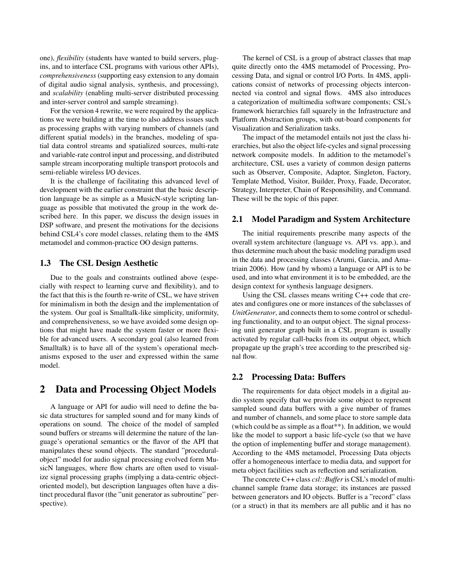one), *flexibility* (students have wanted to build servers, plugins, and to interface CSL programs with various other APIs), *comprehensiveness* (supporting easy extension to any domain of digital audio signal analysis, synthesis, and processing), and *scalability* (enabling multi-server distributed processing and inter-server control and sample streaming).

For the version 4 rewrite, we were required by the applications we were building at the time to also address issues such as processing graphs with varying numbers of channels (and different spatial models) in the branches, modeling of spatial data control streams and spatialized sources, multi-rate and variable-rate control input and processing, and distributed sample stream incorporating multiple transport protocols and semi-reliable wireless I/O devices.

It is the challenge of facilitating this advanced level of development with the earlier constraint that the basic description language be as simple as a MusicN-style scripting language as possible that motivated the group in the work described here. In this paper, we discuss the design issues in DSP software, and present the motivations for the decisions behind CSL4's core model classes, relating them to the 4MS metamodel and common-practice OO design patterns.

### 1.3 The CSL Design Aesthetic

Due to the goals and constraints outlined above (especially with respect to learning curve and flexibility), and to the fact that this is the fourth re-write of CSL, we have striven for minimalism in both the design and the implementation of the system. Our goal is Smalltalk-like simplicity, uniformity, and comprehensiveness, so we have avoided some design options that might have made the system faster or more flexible for advanced users. A secondary goal (also learned from Smalltalk) is to have all of the system's operational mechanisms exposed to the user and expressed within the same model.

# 2 Data and Processing Object Models

A language or API for audio will need to define the basic data structures for sampled sound and for many kinds of operations on sound. The choice of the model of sampled sound buffers or streams will determine the nature of the language's operational semantics or the flavor of the API that manipulates these sound objects. The standard "proceduralobject" model for audio signal processing evolved form MusicN languages, where flow charts are often used to visualize signal processing graphs (implying a data-centric objectoriented model), but description languages often have a distinct procedural flavor (the "unit generator as subroutine" perspective).

The kernel of CSL is a group of abstract classes that map quite directly onto the 4MS metamodel of Processing, Processing Data, and signal or control I/O Ports. In 4MS, applications consist of networks of processing objects interconnected via control and signal flows. 4MS also introduces a categorization of multimedia software components; CSL's framework hierarchies fall squarely in the Infrastructure and Platform Abstraction groups, with out-board components for Visualization and Serialization tasks.

The impact of the metamodel entails not just the class hierarchies, but also the object life-cycles and signal processing network composite models. In addition to the metamodel's architecture, CSL uses a variety of common design patterns such as Observer, Composite, Adaptor, Singleton, Factory, Template Method, Visitor, Builder, Proxy, Faade, Decorator, Strategy, Interpreter, Chain of Responsibility, and Command. These will be the topic of this paper.

#### 2.1 Model Paradigm and System Architecture

The initial requirements prescribe many aspects of the overall system architecture (language vs. API vs. app.), and thus determine much about the basic modeling paradigm used in the data and processing classes (Arumi, Garcia, and Amatriain 2006). How (and by whom) a language or API is to be used, and into what environment it is to be embedded, are the design context for synthesis language designers.

Using the CSL classes means writing C++ code that creates and configures one or more instances of the subclasses of *UnitGenerator*, and connects them to some control or scheduling functionality, and to an output object. The signal processing unit generator graph built in a CSL program is usually activated by regular call-backs from its output object, which propagate up the graph's tree according to the prescribed signal flow.

#### 2.2 Processing Data: Buffers

The requirements for data object models in a digital audio system specify that we provide some object to represent sampled sound data buffers with a give number of frames and number of channels, and some place to store sample data (which could be as simple as a float\*\*). In addition, we would like the model to support a basic life-cycle (so that we have the option of implementing buffer and storage management). According to the 4MS metamodel, Processing Data objects offer a homogeneous interface to media data, and support for meta object facilities such as reflection and serialization.

The concrete C++ class *csl::Buffer* is CSL's model of multichannel sample frame data storage; its instances are passed between generators and IO objects. Buffer is a "record" class (or a struct) in that its members are all public and it has no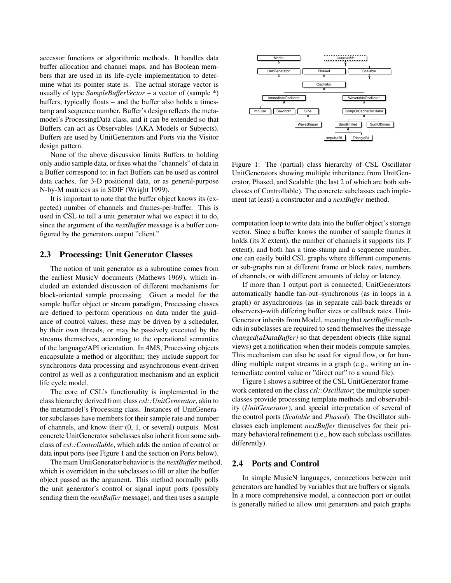accessor functions or algorithmic methods. It handles data buffer allocation and channel maps, and has Boolean members that are used in its life-cycle implementation to determine what its pointer state is. The actual storage vector is usually of type *SampleBufferVector* – a vector of (sample \*) buffers, typically floats – and the buffer also holds a timestamp and sequence number. Buffer's design reflects the metamodel's ProcessingData class, and it can be extended so that Buffers can act as Observables (AKA Models or Subjects). Buffers are used by UnitGenerators and Ports via the Visitor design pattern.

None of the above discussion limits Buffers to holding only audio sample data, or fixes what the "channels" of data in a Buffer correspond to; in fact Buffers can be used as control data caches, for 3-D positional data, or as general-purpose N-by-M matrices as in SDIF (Wright 1999).

It is important to note that the buffer object knows its (expected) number of channels and frames-per-buffer. This is used in CSL to tell a unit generator what we expect it to do, since the argument of the *nextBuffer* message is a buffer configured by the generators output "client."

#### 2.3 Processing: Unit Generator Classes

The notion of unit generator as a subroutine comes from the earliest MusicV documents (Mathews 1969), which included an extended discussion of different mechanisms for block-oriented sample processing. Given a model for the sample buffer object or stream paradigm, Processing classes are defined to perform operations on data under the guidance of control values; these may be driven by a scheduler, by their own threads, or may be passively executed by the streams themselves, according to the operational semantics of the language/API orientation. In 4MS, Processing objects encapsulate a method or algorithm; they include support for synchronous data processing and asynchronous event-driven control as well as a configuration mechanism and an explicit life cycle model.

The core of CSL's functionality is implemented in the class hierarchy derived from class *csl::UnitGenerator*, akin to the metamodel's Processing class. Instances of UnitGenerator subclasses have members for their sample rate and number of channels, and know their (0, 1, or several) outputs. Most concrete UnitGenerator subclasses also inherit from some subclass of *csl::Controllable*, which adds the notion of control or data input ports (see Figure 1 and the section on Ports below).

The main UnitGenerator behavior is the *nextBuffer* method, which is overridden in the subclasses to fill or alter the buffer object passed as the argument. This method normally polls the unit generator's control or signal input ports (possibly sending them the *nextBuffer* message), and then uses a sample



Figure 1: The (partial) class hierarchy of CSL Oscillator UnitGenerators showing multiple inheritance from UnitGenerator, Phased, and Scalable (the last 2 of which are both subclasses of Controllable). The concrete subclasses each implement (at least) a constructor and a *nextBuffer* method.

computation loop to write data into the buffer object's storage vector. Since a buffer knows the number of sample frames it holds (its *X* extent), the number of channels it supports (its *Y* extent), and both has a time-stamp and a sequence number, one can easily build CSL graphs where different components or sub-graphs run at different frame or block rates, numbers of channels, or with different amounts of delay or latency.

If more than 1 output port is connected, UnitGenerators automatically handle fan-out–synchronous (as in loops in a graph) or asynchronous (as in separate call-back threads or observers)–with differing buffer sizes or callback rates. Unit-Generator inherits from Model, meaning that *nextBuffer* methods in subclasses are required to send themselves the message *changed(aDataBuffer)* so that dependent objects (like signal views) get a notification when their models compute samples. This mechanism can also be used for signal flow, or for handling multiple output streams in a graph (e.g., writing an intermediate control value or "direct out" to a sound file).

Figure 1 shows a subtree of the CSL UnitGenerator framework centered on the class *csl::Oscillator*; the multiple superclasses provide processing template methods and observability (*UnitGenerator*), and special interpretation of several of the control ports (*Scalable* and *Phased*). The Oscillator subclasses each implement *nextBuffer* themselves for their primary behavioral refinement (i.e., how each subclass oscillates differently).

#### 2.4 Ports and Control

In simple MusicN languages, connections between unit generators are handled by variables that are buffers or signals. In a more comprehensive model, a connection port or outlet is generally reified to allow unit generators and patch graphs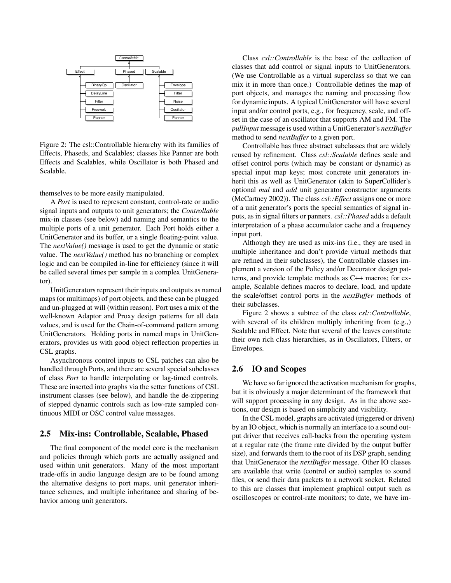

Figure 2: The csl::Controllable hierarchy with its families of Effects, Phaseds, and Scalables; classes like Panner are both Effects and Scalables, while Oscillator is both Phased and Scalable.

themselves to be more easily manipulated.

A *Port* is used to represent constant, control-rate or audio signal inputs and outputs to unit generators; the *Controllable* mix-in classes (see below) add naming and semantics to the multiple ports of a unit generator. Each Port holds either a UnitGenerator and its buffer, or a single floating-point value. The *nextValue()* message is used to get the dynamic or static value. The *nextValue()* method has no branching or complex logic and can be compiled in-line for efficiency (since it will be called several times per sample in a complex UnitGenerator).

UnitGenerators represent their inputs and outputs as named maps (or multimaps) of port objects, and these can be plugged and un-plugged at will (within reason). Port uses a mix of the well-known Adaptor and Proxy design patterns for all data values, and is used for the Chain-of-command pattern among UnitGenerators. Holding ports in named maps in UnitGenerators, provides us with good object reflection properties in CSL graphs.

Asynchronous control inputs to CSL patches can also be handled through Ports, and there are several special subclasses of class *Port* to handle interpolating or lag-timed controls. These are inserted into graphs via the setter functions of CSL instrument classes (see below), and handle the de-zippering of stepped dynamic controls such as low-rate sampled continuous MIDI or OSC control value messages.

### 2.5 Mix-ins: Controllable, Scalable, Phased

The final component of the model core is the mechanism and policies through which ports are actually assigned and used within unit generators. Many of the most important trade-offs in audio language design are to be found among the alternative designs to port maps, unit generator inheritance schemes, and multiple inheritance and sharing of behavior among unit generators.

Class *csl::Controllable* is the base of the collection of classes that add control or signal inputs to UnitGenerators. (We use Controllable as a virtual superclass so that we can mix it in more than once.) Controllable defines the map of port objects, and manages the naming and processing flow for dynamic inputs. A typical UnitGenerator will have several input and/or control ports, e.g., for frequency, scale, and offset in the case of an oscillator that supports AM and FM. The *pullInput* message is used within a UnitGenerator's *nextBuffer* method to send *nextBuffer* to a given port.

Controllable has three abstract subclasses that are widely reused by refinement. Class *csl::Scalable* defines scale and offset control ports (which may be constant or dynamic) as special input map keys; most concrete unit generators inherit this as well as UnitGenerator (akin to SuperCollider's optional *mul* and *add* unit generator constructor arguments (McCartney 2002)). The class *csl::Effect* assigns one or more of a unit generator's ports the special semantics of signal inputs, as in signal filters or panners. *csl::Phased* adds a default interpretation of a phase accumulator cache and a frequency input port.

Although they are used as mix-ins (i.e., they are used in multiple inheritance and don't provide virtual methods that are refined in their subclasses), the Controllable classes implement a version of the Policy and/or Decorator design patterns, and provide template methods as C++ macros; for example, Scalable defines macros to declare, load, and update the scale/offset control ports in the *nextBuffer* methods of their subclasses.

Figure 2 shows a subtree of the class *csl::Controllable*, with several of its children multiply inheriting from  $(e.g.,)$ Scalable and Effect. Note that several of the leaves constitute their own rich class hierarchies, as in Oscillators, Filters, or Envelopes.

### 2.6 IO and Scopes

We have so far ignored the activation mechanism for graphs, but it is obviously a major determinant of the framework that will support processing in any design. As in the above sections, our design is based on simplicity and visibility.

In the CSL model, graphs are activated (triggered or driven) by an IO object, which is normally an interface to a sound output driver that receives call-backs from the operating system at a regular rate (the frame rate divided by the output buffer size), and forwards them to the root of its DSP graph, sending that UnitGenerator the *nextBuffer* message. Other IO classes are available that write (control or audio) samples to sound files, or send their data packets to a network socket. Related to this are classes that implement graphical output such as oscilloscopes or control-rate monitors; to date, we have im-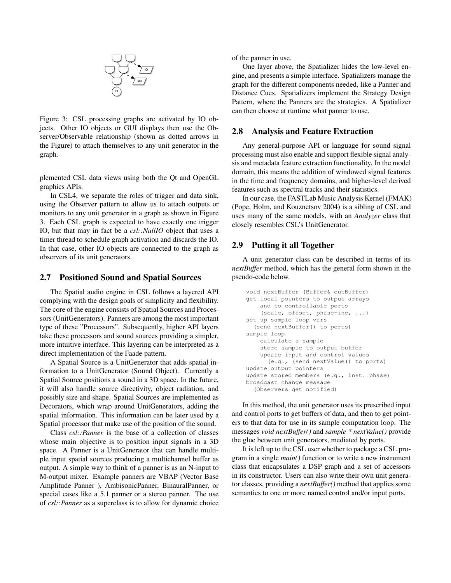

Figure 3: CSL processing graphs are activated by IO objects. Other IO objects or GUI displays then use the Observer/Observable relationship (shown as dotted arrows in the Figure) to attach themselves to any unit generator in the graph.

plemented CSL data views using both the Qt and OpenGL graphics APIs.

In CSL4, we separate the roles of trigger and data sink, using the Observer pattern to allow us to attach outputs or monitors to any unit generator in a graph as shown in Figure 3. Each CSL graph is expected to have exactly one trigger IO, but that may in fact be a *csl::NullIO* object that uses a timer thread to schedule graph activation and discards the IO. In that case, other IO objects are connected to the graph as observers of its unit generators.

#### 2.7 Positioned Sound and Spatial Sources

The Spatial audio engine in CSL follows a layered API complying with the design goals of simplicity and flexibility. The core of the engine consists of Spatial Sources and Processors (UnitGenerators). Panners are among the most important type of these "Processors". Subsequently, higher API layers take these processors and sound sources providing a simpler, more intuitive interface. This layering can be interpreted as a direct implementation of the Faade pattern.

A Spatial Source is a UnitGenerator that adds spatial information to a UnitGenerator (Sound Object). Currently a Spatial Source positions a sound in a 3D space. In the future, it will also handle source directivity, object radiation, and possibly size and shape. Spatial Sources are implemented as Decorators, which wrap around UnitGenerators, adding the spatial information. This information can be later used by a Spatial processor that make use of the position of the sound.

Class *csl::Panner* is the base of a collection of classes whose main objective is to position input signals in a 3D space. A Panner is a UnitGenerator that can handle multiple input spatial sources producing a multichannel buffer as output. A simple way to think of a panner is as an N-input to M-output mixer. Example panners are VBAP (Vector Base Amplitude Panner ), AmbisonicPanner, BinauralPanner, or special cases like a 5.1 panner or a stereo panner. The use of *csl::Panner* as a superclass is to allow for dynamic choice of the panner in use.

One layer above, the Spatializer hides the low-level engine, and presents a simple interface. Spatializers manage the graph for the different components needed, like a Panner and Distance Cues. Spatializers implement the Strategy Design Pattern, where the Panners are the strategies. A Spatializer can then choose at runtime what panner to use.

#### 2.8 Analysis and Feature Extraction

Any general-purpose API or language for sound signal processing must also enable and support flexible signal analysis and metadata feature extraction functionality. In the model domain, this means the addition of windowed signal features in the time and frequency domains, and higher-level derived features such as spectral tracks and their statistics.

In our case, the FASTLab Music Analysis Kernel (FMAK) (Pope, Holm, and Kouznetsov 2004) is a sibling of CSL and uses many of the same models, with an *Analyzer* class that closely resembles CSL's UnitGenerator.

### 2.9 Putting it all Together

A unit generator class can be described in terms of its *nextBuffer* method, which has the general form shown in the pseudo-code below.

```
void nextBuffer (Buffer& outBuffer)
get local pointers to output arrays
    and to controllable ports
    (scale, offset, phase-inc, ...)
set up sample loop vars
  (send nextBuffer() to ports)
sample loop
    calculate a sample
    store sample to output buffer
    update input and control values
      (e.g., (send nextValue() to ports)
update output pointers
update stored members (e.g., inst. phase)
broadcast change message
  (Observers get notified)
```
In this method, the unit generator uses its prescribed input and control ports to get buffers of data, and then to get pointers to that data for use in its sample computation loop. The messages *void nextBuffer()* and *sample \* nextValue()* provide the glue between unit generators, mediated by ports.

It is left up to the CSL user whether to package a CSL program in a single *main()* function or to write a new instrument class that encapsulates a DSP graph and a set of accessors in its constructor. Users can also write their own unit generator classes, providing a *nextBuffer()* method that applies some semantics to one or more named control and/or input ports.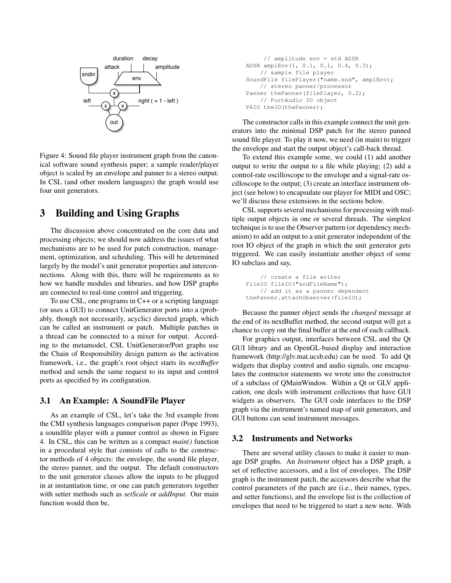

Figure 4: Sound file player instrument graph from the canonical software sound synthesis paper; a sample reader/player object is scaled by an envelope and panner to a stereo output. In CSL (and other modern languages) the graph would use four unit generators.

# 3 Building and Using Graphs

The discussion above concentrated on the core data and processing objects; we should now address the issues of what mechanisms are to be used for patch construction, management, optimization, and scheduling. This will be determined largely by the model's unit generator properties and interconnections. Along with this, there will be requirements as to how we handle modules and libraries, and how DSP graphs are connected to real-time control and triggering.

To use CSL, one programs in C++ or a scripting language (or uses a GUI) to connect UnitGenerator ports into a (probably, though not necessarily, acyclic) directed graph, which can be called an instrument or patch. Multiple patches in a thread can be connected to a mixer for output. According to the metamodel, CSL UnitGenerator/Port graphs use the Chain of Responsibility design pattern as the activation framework, i.e., the graph's root object starts its *nextBuffer* method and sends the same request to its input and control ports as specified by its configuration.

### 3.1 An Example: A SoundFile Player

As an example of CSL, let's take the 3rd example from the CMJ synthesis languages comparison paper (Pope 1993), a soundfile player with a panner control as shown in Figure 4. In CSL, this can be written as a compact *main()* function in a procedural style that consists of calls to the constructor methods of 4 objects: the envelope, the sound file player, the stereo panner, and the output. The default constructors to the unit generator classes allow the inputs to be plugged in at instantiation time, or one can patch generators together with setter methods such as *setScale* or *addInput*. Our main function would then be,

```
// amplitude env = std ADSR
ADSR amplEnv(1, 0.1, 0.1, 0.4, 0.3);
    // sample file player
SoundFile filePlayer("name.snd", amplEnv);
    // stereo panner/processor
Panner thePanner(filePlayer, 0.2);
    // PortAudio IO object
PAIO theIO(thePanner);
```
The constructor calls in this example connect the unit generators into the minimal DSP patch for the stereo panned sound file player. To play it now, we need (in main) to trigger the envelope and start the output object's call-back thread.

To extend this example some, we could (1) add another output to write the output to a file while playing; (2) add a control-rate oscilloscope to the envelope and a signal-rate oscilloscope to the output; (3) create an interface instrument object (see below) to encapsulate our player for MIDI and OSC; we'll discuss these extensions in the sections below.

CSL supports several mechanisms for processing with multiple output objects in one or several threads. The simplest technique is to use the Observer pattern (or dependency mechanism) to add an output to a unit generator independent of the root IO object of the graph in which the unit generator gets triggered. We can easily instantiate another object of some IO subclass and say,

```
// create a file writer
FileIO fileIO("sndFileName");
    // add it as a panner dependent
thePanner.attachObserver(fileIO);
```
Because the panner object sends the *changed* message at the end of its nextBuffer method, the second output will get a chance to copy out the final buffer at the end of each callback.

For graphics output, interfaces between CSL and the Qt GUI library and an OpenGL-based display and interaction framework (http://glv.mat.ucsb.edu) can be used. To add Qt widgets that display control and audio signals, one encapsulates the contructor statements we wrote into the constructor of a subclass of QMainWindow. Within a Qt or GLV application, one deals with instrument collections that have GUI widgets as observers. The GUI code interfaces to the DSP graph via the instrument's named map of unit generators, and GUI buttons can send instrument messages.

### 3.2 Instruments and Networks

There are several utility classes to make it easier to manage DSP graphs. An *Instrument* object has a DSP graph, a set of reflective accessors, and a list of envelopes. The DSP graph is the instrument patch, the accessors describe what the control parameters of the patch are (i.e., their names, types, and setter functions), and the envelope list is the collection of envelopes that need to be triggered to start a new note. With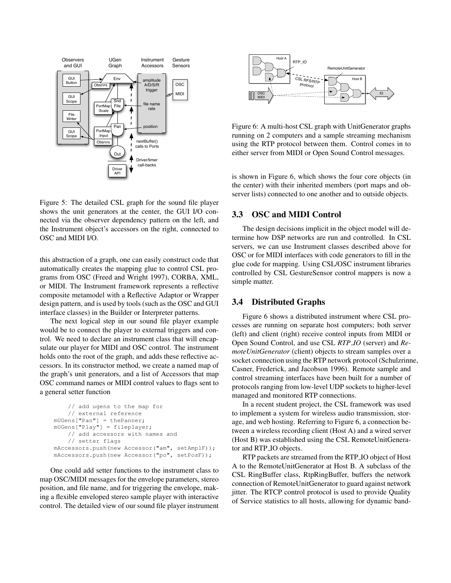

Figure 5: The detailed CSL graph for the sound file player shows the unit generators at the center, the GUI I/O connected via the observer dependency pattern on the left, and the Instrument object's accessors on the right, connected to OSC and MIDI I/O.

this abstraction of a graph, one can easily construct code that automatically creates the mapping glue to control CSL programs from OSC (Freed and Wright 1997), CORBA, XML, or MIDI. The Instrument framework represents a reflective composite metamodel with a Reflective Adaptor or Wrapper design pattern, and is used by tools (such as the OSC and GUI interface classes) in the Builder or Interpreter patterns.

The next logical step in our sound file player example would be to connect the player to external triggers and control. We need to declare an instrument class that will encapsulate our player for MIDI and OSC control. The instrument holds onto the root of the graph, and adds these reflective accessors. In its constructor method, we create a named map of the graph's unit generators, and a list of Accessors that map OSC command names or MIDI control values to flags sent to a general setter function

```
// add ugens to the map for
    // external reference
mUGens["Pan"] = thePanner;
mUGens["Play"] = fileplayer;
    // add accessors with names and
    // setter flags
mAccessors.push(new Accessor("am", setAmplF));
mAccessors.push(new Accessor("po", setPosF));
```
One could add setter functions to the instrument class to map OSC/MIDI messages for the envelope parameters, stereo position, and file name, and for triggering the envelope, making a flexible enveloped stereo sample player with interactive control. The detailed view of our sound file player instrument



Figure 6: A multi-host CSL graph with UnitGenerator graphs running on 2 computers and a sample streaming mechanism using the RTP protocol between them. Control comes in to either server from MIDI or Open Sound Control messages.

is shown in Figure 6, which shows the four core objects (in the center) with their inherited members (port maps and observer lists) connected to one another and to outside objects.

# 3.3 OSC and MIDI Control

The design decisions implicit in the object model will determine how DSP networks are run and controlled. In CSL servers, we can use Instrument classes described above for OSC or for MIDI interfaces with code generators to fill in the glue code for mapping. Using CSL/OSC instrument libraries controlled by CSL GestureSensor control mappers is now a simple matter.

### 3.4 Distributed Graphs

Figure 6 shows a distributed instrument where CSL processes are running on separate host computers; both server (left) and client (right) receive control inputs from MIDI or Open Sound Control, and use CSL *RTP IO* (server) and *RemoteUnitGenerator* (client) objects to stream samples over a socket connection using the RTP network protocol (Schulzrinne, Casner, Frederick, and Jacobson 1996). Remote sample and control streaming interfaces have been built for a number of protocols ranging from low-level UDP sockets to higher-level managed and monitored RTP connections.

In a recent student project, the CSL framework was used to implement a system for wireless audio transmission, storage, and web hosting. Referring to Figure 6, a connection between a wireless recording client (Host A) and a wired server (Host B) was established using the CSL RemoteUnitGenerator and RTP IO objects.

RTP packets are streamed from the RTP IO object of Host A to the RemoteUnitGenerator at Host B. A subclass of the CSL RingBuffer class, RtpRingBuffer, buffers the network connection of RemoteUnitGenerator to guard against network jitter. The RTCP control protocol is used to provide Quality of Service statistics to all hosts, allowing for dynamic band